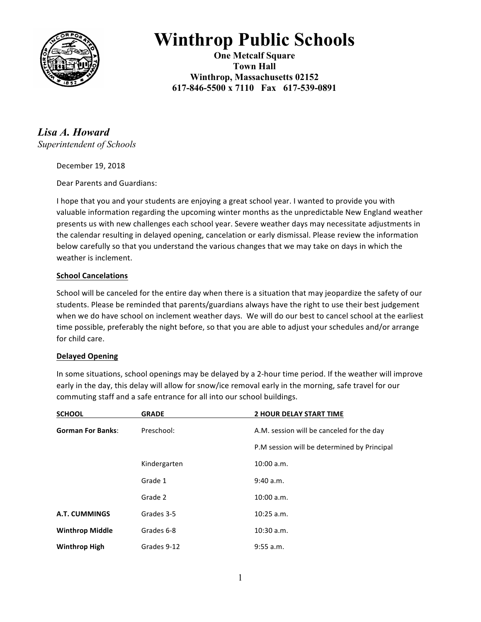

# **Winthrop Public Schools**

**One Metcalf Square Town Hall Winthrop, Massachusetts 02152 617-846-5500 x 7110 Fax 617-539-0891**

*Lisa A. Howard Superintendent of Schools* 

December 19, 2018

Dear Parents and Guardians:

I hope that you and your students are enjoying a great school year. I wanted to provide you with valuable information regarding the upcoming winter months as the unpredictable New England weather presents us with new challenges each school year. Severe weather days may necessitate adjustments in the calendar resulting in delayed opening, cancelation or early dismissal. Please review the information below carefully so that you understand the various changes that we may take on days in which the weather is inclement.

# **School Cancelations**

School will be canceled for the entire day when there is a situation that may jeopardize the safety of our students. Please be reminded that parents/guardians always have the right to use their best judgement when we do have school on inclement weather days. We will do our best to cancel school at the earliest time possible, preferably the night before, so that you are able to adjust your schedules and/or arrange for child care.

## **Delayed Opening**

In some situations, school openings may be delayed by a 2-hour time period. If the weather will improve early in the day, this delay will allow for snow/ice removal early in the morning, safe travel for our commuting staff and a safe entrance for all into our school buildings.

| <b>SCHOOL</b>            | <b>GRADE</b> | <b>2 HOUR DELAY START TIME</b>              |
|--------------------------|--------------|---------------------------------------------|
| <b>Gorman For Banks:</b> | Preschool:   | A.M. session will be canceled for the day   |
|                          |              | P.M session will be determined by Principal |
|                          | Kindergarten | 10:00 a.m.                                  |
|                          | Grade 1      | 9:40 a.m.                                   |
|                          | Grade 2      | 10:00 a.m.                                  |
| A.T. CUMMINGS            | Grades 3-5   | $10:25$ a.m.                                |
| <b>Winthrop Middle</b>   | Grades 6-8   | 10:30 a.m.                                  |
| <b>Winthrop High</b>     | Grades 9-12  | 9:55 a.m.                                   |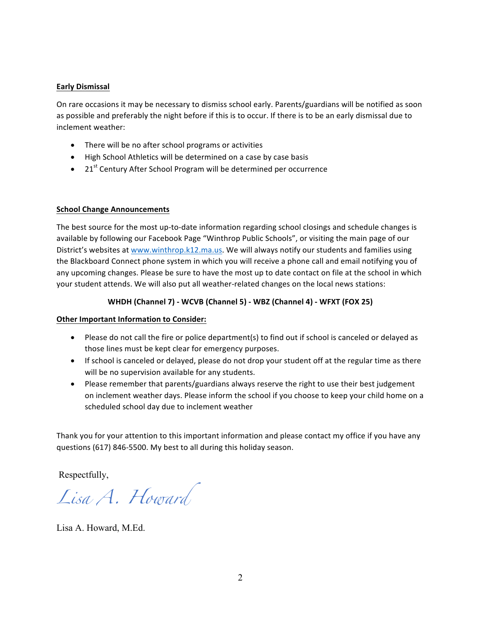#### **Early Dismissal**

On rare occasions it may be necessary to dismiss school early. Parents/guardians will be notified as soon as possible and preferably the night before if this is to occur. If there is to be an early dismissal due to inclement weather:

- There will be no after school programs or activities
- High School Athletics will be determined on a case by case basis
- 21<sup>st</sup> Century After School Program will be determined per occurrence

#### **School Change Announcements**

The best source for the most up-to-date information regarding school closings and schedule changes is available by following our Facebook Page "Winthrop Public Schools", or visiting the main page of our District's websites at www.winthrop.k12.ma.us. We will always notify our students and families using the Blackboard Connect phone system in which you will receive a phone call and email notifying you of any upcoming changes. Please be sure to have the most up to date contact on file at the school in which your student attends. We will also put all weather-related changes on the local news stations:

# **WHDH (Channel 7) - WCVB (Channel 5) - WBZ (Channel 4) - WFXT (FOX 25)**

## **Other Important Information to Consider:**

- Please do not call the fire or police department(s) to find out if school is canceled or delayed as those lines must be kept clear for emergency purposes.
- If school is canceled or delayed, please do not drop your student off at the regular time as there will be no supervision available for any students.
- Please remember that parents/guardians always reserve the right to use their best judgement on inclement weather days. Please inform the school if you choose to keep your child home on a scheduled school day due to inclement weather

Thank you for your attention to this important information and please contact my office if you have any questions (617) 846-5500. My best to all during this holiday season.

Respectfully,

*Lisa A. Howard*

Lisa A. Howard, M.Ed.